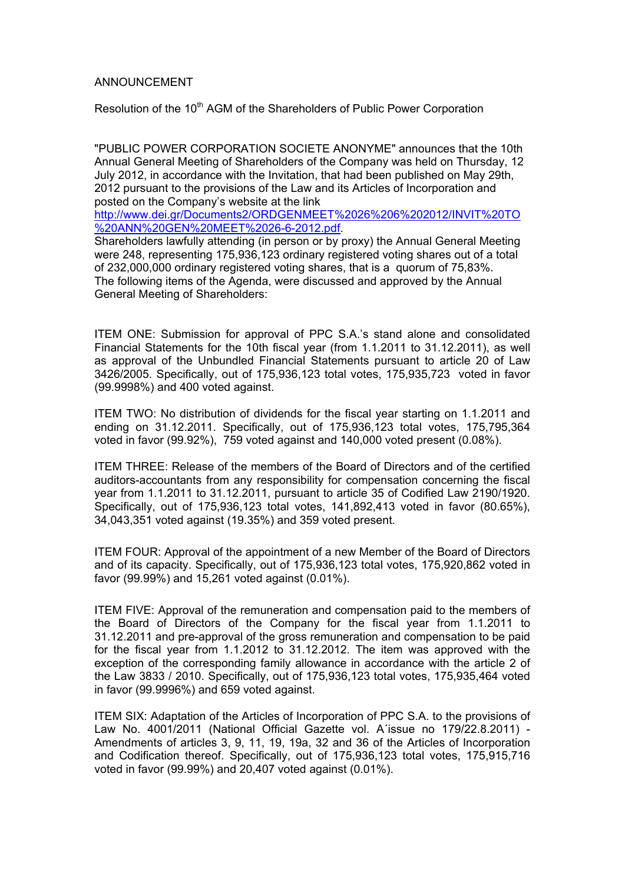## ANNOUNCEMENT

Resolution of the 10<sup>th</sup> AGM of the Shareholders of Public Power Corporation

"PUBLIC POWER CORPORATION SOCIETE ANONYME" announces that the 10th Annual General Meeting of Shareholders of the Company was held on Thursday, 12 July 2012, in accordance with the Invitation, that had been published on May 29th, 2012 pursuant to the provisions of the Law and its Articles of Incorporation and posted on the Company's website at the link

http://www.dei.gr/Documents2/ORDGENMEET%2026%206%202012/INVIT%20TO %20ANN%20GEN%20MEET%2026-6-2012.pdf.

Shareholders lawfully attending (in person or by proxy) the Annual General Meeting were 248, representing 175,936,123 ordinary registered voting shares out of a total of 232,000,000 ordinary registered voting shares, that is a quorum of 75,83%. The following items of the Agenda, were discussed and approved by the Annual General Meeting of Shareholders:

ITEM ONE: Submission for approval of PPC S.A.'s stand alone and consolidated Financial Statements for the 10th fiscal year (from 1.1.2011 to 31.12.2011), as well as approval of the Unbundled Financial Statements pursuant to article 20 of Law 3426/2005. Specifically, out of 175,936,123 total votes, 175,935,723 voted in favor (99.9998%) and 400 voted against.

ITEM TWO: No distribution of dividends for the fiscal year starting on 1.1.2011 and ending on 31.12.2011. Specifically, out of 175,936,123 total votes, 175,795,364 voted in favor (99.92%), 759 voted against and 140,000 voted present (0.08%).

ITEM THREE: Release of the members of the Board of Directors and of the certified auditors-accountants from any responsibility for compensation concerning the fiscal year from 1.1.2011 to 31.12.2011, pursuant to article 35 of Codified Law 2190/1920. Specifically, out of 175,936,123 total votes, 141,892,413 voted in favor (80.65%), 34,043,351 voted against (19.35%) and 359 voted present.

ITEM FOUR: Approval of the appointment of a new Member of the Board of Directors and of its capacity. Specifically, out of 175,936,123 total votes, 175,920,862 voted in favor (99.99%) and 15,261 voted against (0.01%).

ITEM FIVE: Approval of the remuneration and compensation paid to the members of the Board of Directors of the Company for the fiscal year from 1.1.2011 to 31.12.2011 and pre-approval of the gross remuneration and compensation to be paid for the fiscal year from 1.1.2012 to 31.12.2012. The item was approved with the exception of the corresponding family allowance in accordance with the article 2 of the Law 3833 / 2010. Specifically, out of 175,936,123 total votes, 175,935,464 voted in favor (99.9996%) and 659 voted against.

ITEM SIX: Adaptation of the Articles of Incorporation of PPC S.A. to the provisions of Law No. 4001/2011 (National Official Gazette vol. A΄issue no 179/22.8.2011) - Amendments of articles 3, 9, 11, 19, 19a, 32 and 36 of the Articles of Incorporation and Codification thereof. Specifically, out of 175,936,123 total votes, 175,915,716 voted in favor (99.99%) and 20,407 voted against (0.01%).